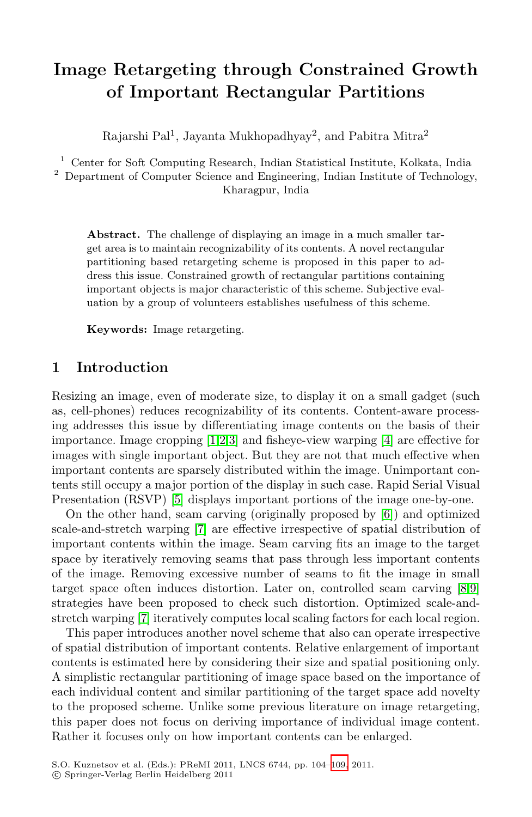# **Image Retargeting through Constrained Growth of Important Rectangular Partitions**

Rajarshi Pal<sup>1</sup>, Jayanta Mukhopadhyay<sup>2</sup>, and Pabitra Mitra<sup>2</sup>

<sup>1</sup> Center for Soft Computing Research, Indian Statistical Institute, Kolkata, India

<sup>2</sup> Department of Computer Science and Engineering, Indian Institute of Technology, Kharagpur, India

**Abstract.** The challenge of displaying an image in a much smaller target area is to maintain recognizability of its contents. A novel rectangular partitioning based retargeting scheme is proposed in this paper to address this issue. Constrained growth of rectangular partitions containing important objects is major characteristic of this scheme. Subjective evaluation by a group of volunteers establishes usefulness of this scheme.

**Ke[yw](#page-5-0)[o](#page-5-1)[rd](#page-5-2)s:** Image retargeting.

### **1 Introduction**

Res[iz](#page-5-3)ing an image, even of moderate size, [to](#page-5-4) display it on a small gadget (such as, cell-[ph](#page-5-5)ones) reduces recognizability of its contents. Content-aware processing addresses this issue by differentiating image contents on the basis of their importance. Image cropping [1,2,3] and fisheye-view warping [4] are effective for images with single important object. But they are not that much effective when important contents are sparsely distributed within the i[ma](#page-5-6)[ge](#page-5-7). Unimportant contents still occupy a major portion of the display in such case. Rapid Serial Visual Presentation (RSVP) [5] displays important portions of the image one-by-one.

On the other hand, seam carving (originally proposed by [6]) and optimized scale-and-stretch warping [7] are effective irrespective of spatial distribution of important contents within the image. Seam carving fits an image to the target space by iteratively removing seams that pass through less important contents of the image. Removing excessive number of seams to fit the image in small target space often induces distortion. Later on, controlled seam carving [8,9] strategies have been proposed to check such distortion. Optimized scale-andstretch warping [7] iteratively computes local scaling factors for each local region.

This paper introduces another novel scheme that also can operate irrespective of spatial distribution of importa[nt c](#page-5-8)ontents. Relative enlargement of important contents is estimated here by considering their size and spatial positioning only. A simplistic rectangular partitioning of image space based on the importance of each individual content and similar partitioning of the target space add novelty to the proposed scheme. Unlike some previous literature on image retargeting, this paper does not focus on deriving importance of individual image content. Rather it focuses only on how important contents can be enlarged.

S.O. Kuznetsov et al. (Eds.): PReMI 2011, LNCS 6744, pp. 104–109, 2011.

<sup>-</sup>c Springer-Verlag Berlin Heidelberg 2011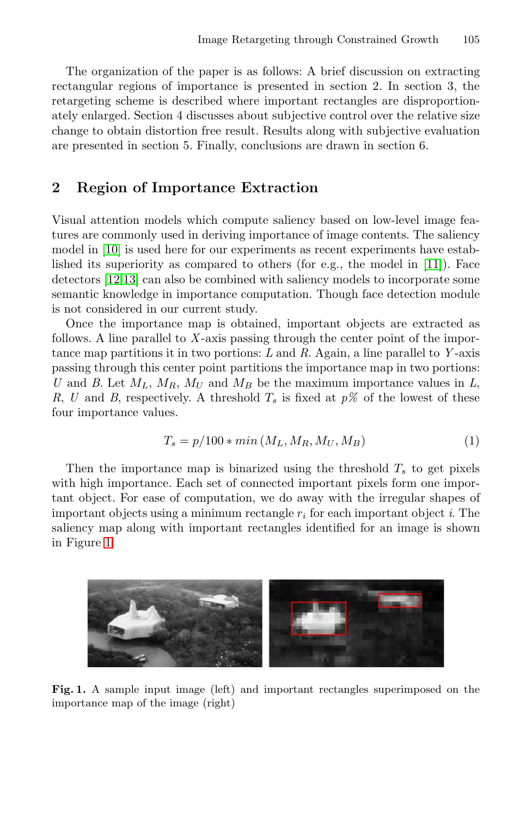The organization of the paper is as follows: A brief discussion on extracting rectangular regions of importance is presented in section 2. In section 3, the retargeting scheme is described where important rectangles are disproportionately enlarged. Section 4 discusses about subjective control over the relative size change to obtain distortion free result. Results along with subjective evaluation are presented in section 5. Finally, conclusions are [dra](#page-5-9)wn in section 6.

### **2 Region of Importance Extraction**

Visual attention models which compute saliency based on low-level image features are commonly used in deriving importance of image contents. The saliency model in [10] is used here for our experiments as recent experiments have established its superiority as compared to others (for e.g., the model in [11]). Face detectors [12,13] can also be combined with saliency models to incorporate some semantic knowledge in importance computation. Though face detection module is not considered in our current study.

Once the importance map is obtained, important objects are extracted as follows. A line parallel to X-axis passing through the center point of the importance map partitions it in two portions: *L* and *R*. Again, a line parallel to *Y* -axis passing through this center point partitions the importance map in two portions: *U* and *B*. Let  $M_L$ ,  $M_R$ ,  $M_U$  and  $M_B$  be the maximum importance values in *L*, *R*, *U* and *B*, respectively. A threshold  $T_s$  is fixed at  $p\%$  of the lowest of these four importance values.

$$
T_s = p/100 * min(M_L, M_R, M_U, M_B)
$$
 (1)

Then the importance map is binarized using the threshold T*<sup>s</sup>* to get pixels with high importance. Each set of connected important pixels form one important object. For ease of computation, we do away with the irregular shapes of important objects using a minimum rectangle r*<sup>i</sup>* for each important object *i*. The saliency map along with important rectangles identified for an image is shown in Figure 1.



**Fig. 1.** A sample input image (left) and important rectangles superimposed on the importance map of the image (right)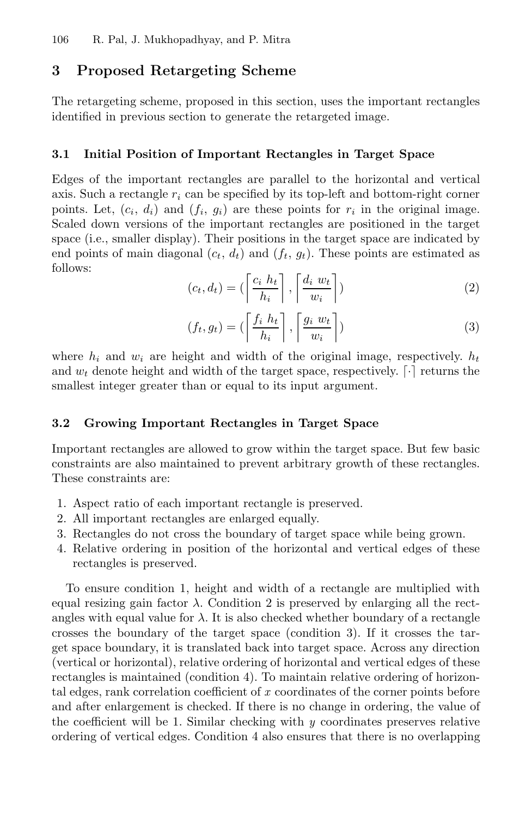### **3 Proposed Retargeting Scheme**

The retargeting scheme, proposed in this section, uses the important rectangles identified in previous section to generate the retargeted image.

#### **3.1 Initial Position of Important Rectangles in Target Space**

Edges of the important rectangles are parallel to the horizontal and vertical axis. Such a rectangle  $r_i$  can be specified by its top-left and bottom-right corner points. Let,  $(c_i, d_i)$  and  $(f_i, g_i)$  are these points for  $r_i$  in the original image. Scaled down versions of the important rectangles are positioned in the target space (i.e., smaller display). Their positions in the target space are indicated by end points of main diagonal  $(c_t, d_t)$  and  $(f_t, g_t)$ . These points are estimated as follows:

$$
(c_t, d_t) = \left(\left\lceil \frac{c_i h_t}{h_i} \right\rceil, \left\lceil \frac{d_i w_t}{w_i} \right\rceil\right) \tag{2}
$$

$$
(f_t, g_t) = \left(\left\lceil \frac{f_i h_t}{h_i} \right\rceil, \left\lceil \frac{g_i w_t}{w_i} \right\rceil\right) \tag{3}
$$

where  $h_i$  and  $w_i$  are height and width of the original image, respectively.  $h_t$ and  $w_t$  denote height and width of the target space, respectively.  $[\cdot]$  returns the smallest integer greater than or equal to its input argument.

#### **3.2 Growing Important Rectangles in Target Space**

Important rectangles are allowed to grow within the target space. But few basic constraints are also maintained to prevent arbitrary growth of these rectangles. These constraints are:

- 1. Aspect ratio of each important rectangle is preserved.
- 2. All important rectangles are enlarged equally.
- 3. Rectangles do not cross the boundary of target space while being grown.
- 4. Relative ordering in position of the horizontal and vertical edges of these rectangles is preserved.

To ensure condition 1, height and width of a rectangle are multiplied with equal resizing gain factor  $\lambda$ . Condition 2 is preserved by enlarging all the rectangles with equal value for  $\lambda$ . It is also checked whether boundary of a rectangle crosses the boundary of the target space (condition 3). If it crosses the target space boundary, it is translated back into target space. Across any direction (vertical or horizontal), relative ordering of horizontal and vertical edges of these rectangles is maintained (condition 4). To maintain relative ordering of horizontal edges, rank correlation coefficient of *x* coordinates of the corner points before and after enlargement is checked. If there is no change in ordering, the value of the coefficient will be 1. Similar checking with *y* coordinates preserves relative ordering of vertical edges. Condition 4 also ensures that there is no overlapping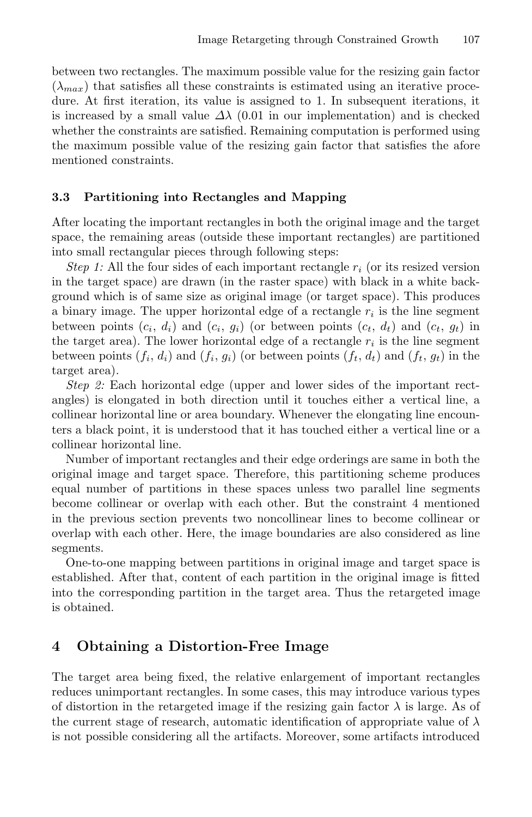between two rectangles. The maximum possible value for the resizing gain factor  $(\lambda_{max})$  that satisfies all these constraints is estimated using an iterative procedure. At first iteration, its value is assigned to 1. In subsequent iterations, it is increased by a small value  $\Delta\lambda$  (0.01 in our implementation) and is checked whether the constraints are satisfied. Remaining computation is performed using the maximum possible value of the resizing gain factor that satisfies the afore mentioned constraints.

#### **3.3 Partitioning into Rectangles and Mapping**

After locating the important rectangles in both the original image and the target space, the remaining areas (outside these important rectangles) are partitioned into small rectangular pieces through following steps:

*Step 1:* All the four sides of each important rectangle r*<sup>i</sup>* (or its resized version in the target space) are drawn (in the raster space) with black in a white background which is of same size as original image (or target space). This produces a binary image. The upper horizontal edge of a rectangle  $r_i$  is the line segment between points  $(c_i, d_i)$  and  $(c_i, g_i)$  (or between points  $(c_t, d_t)$  and  $(c_t, g_t)$  in the target area). The lower horizontal edge of a rectangle  $r_i$  is the line segment between points  $(f_i, d_i)$  and  $(f_i, g_i)$  (or between points  $(f_t, d_t)$  and  $(f_t, g_t)$  in the target area).

*Step 2:* Each horizontal edge (upper and lower sides of the important rectangles) is elongated in both direction until it touches either a vertical line, a collinear horizontal line or area boundary. Whenever the elongating line encounters a black point, it is understood that it has touched either a vertical line or a collinear horizontal line.

Number of important rectangles and their edge orderings are same in both the original image and target space. Therefore, this partitioning scheme produces equal number of partitions in these spaces unless two parallel line segments become collinear or overlap with each other. But the constraint 4 mentioned in the previous section prevents two noncollinear lines to become collinear or overlap with each other. Here, the image boundaries are also considered as line segments.

One-to-one mapping between partitions in original image and target space is established. After that, content of each partition in the original image is fitted into the corresponding partition in the target area. Thus the retargeted image is obtained.

#### **4 Obtaining a Distortion-Free Image**

The target area being fixed, the relative enlargement of important rectangles reduces unimportant rectangles. In some cases, this may introduce various types of distortion in the retargeted image if the resizing gain factor  $\lambda$  is large. As of the current stage of research, automatic identification of appropriate value of  $\lambda$ is not possible considering all the artifacts. Moreover, some artifacts introduced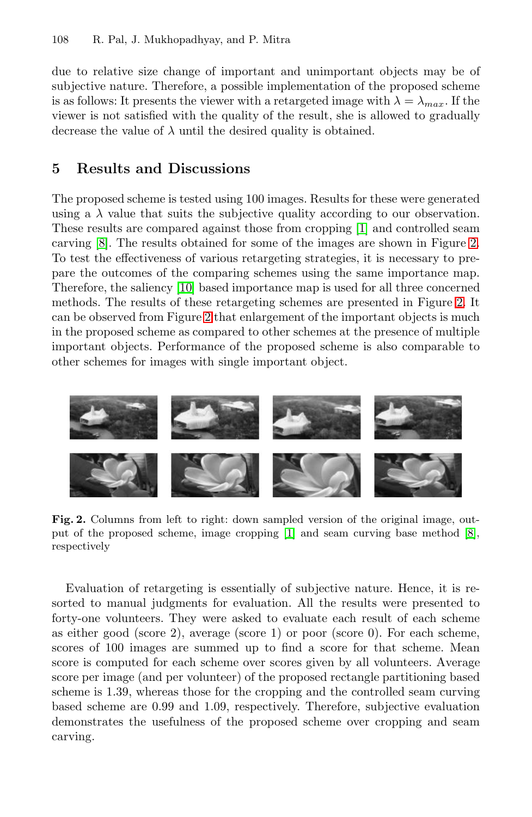#### 108 R. Pal, J. Mukhopadhyay, and P. Mitra

due to relative size change of important and unimportant objects may be of subjective nature. Therefore, a possible implementation of the proposed scheme is as follows: It presents the viewer with a retargeted image with  $\lambda = \lambda_{max}$ . If the viewer is not satisfied with the qualit[y o](#page-5-0)f the result, she is allowed to gradually decrease the value of  $\lambda$  until the desired quality is obtaine[d.](#page-4-0)

#### **5 [Re](#page-5-10)sults and Discussions**

The prop[os](#page-4-0)ed scheme is tested using 100 images. Results [fo](#page-4-0)r these were generated using a  $\lambda$  value that suits the subjective quality according to our observation. These results are compared against those from cropping [1] and controlled seam carving [8]. The results obtained for some of the images are shown in Figure 2. To test the effectiveness of various retargeting strategies, it is necessary to prepare the outcomes of the comparing schemes using the same importance map. Therefore, the saliency [10] based importance map is used for all three concerned methods. The results of these retargeting schemes are presented in Figure 2. It can be observed from Figure 2 that enlargement of the important objects is much in the proposed scheme as compared to other schemes at the presence of multiple important objects. Performance of the proposed scheme is also comparable to other schemes for images with single important object.

<span id="page-4-0"></span>

**Fig. 2.** Columns from left to right: down sampled version of the original image, output of the proposed scheme, image cropping [1] and seam curving base method [8], respectively

Evaluation of retargeting is essentially of subjective nature. Hence, it is resorted to manual judgments for evaluation. All the results were presented to forty-one volunteers. They were asked to evaluate each result of each scheme as either good (score 2), average (score 1) or poor (score 0). For each scheme, scores of 100 images are summed up to find a score for that scheme. Mean score is computed for each scheme over scores given by all volunteers. Average score per image (and per volunteer) of the proposed rectangle partitioning based scheme is 1.39, whereas those for the cropping and the controlled seam curving based scheme are 0.99 and 1.09, respectively. Therefore, subjective evaluation demonstrates the usefulness of the proposed scheme over cropping and seam carving.